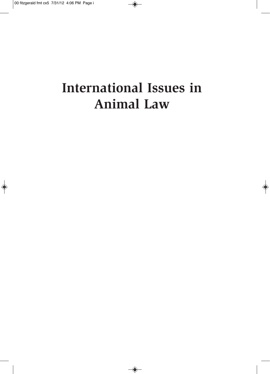# **International Issues in Animal Law**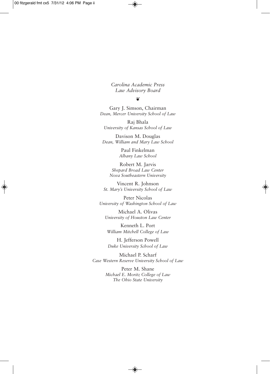*Carolina Academic Press Law Advisory Board*

#### ❦

Gary J. Simson, Chairman *Dean, Mercer University School of Law*

Raj Bhala *University of Kansas School of Law*

Davison M. Douglas *Dean, William and Mary Law School*

> Paul Finkelman *Albany Law School*

Robert M. Jarvis *Shepard Broad Law Center Nova Southeastern University*

Vincent R. Johnson *St. Mary's University School of Law*

Peter Nicolas *University of Washington School of Law*

Michael A. Olivas *University of Houston Law Center*

Kenneth L. Port *William Mitchell College of Law*

H. Jefferson Powell *Duke University School of Law*

Michael P. Scharf *Case Western Reserve University School of Law*

> Peter M. Shane *Michael E. Moritz College of Law The Ohio State University*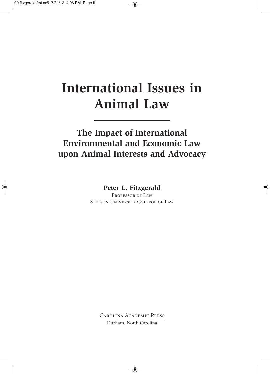## **International Issues in Animal Law**

#### **The Impact of International Environmental and Economic Law upon Animal Interests and Advocacy**

**Peter L. Fitzgerald**

PROFESSOR OF LAW STETSON UNIVERSITY COLLEGE OF LAW

Carolina Academic Press

Durham, North Carolina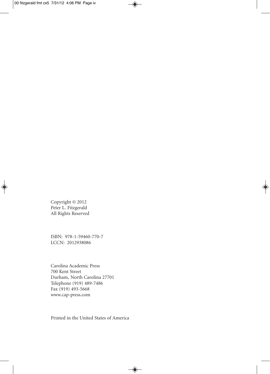Copyright © 2012 Peter L. Fitzgerald All Rights Reserved

ISBN: 978-1-59460-770-7 LCCN: 2012938086

Carolina Academic Press 700 Kent Street Durham, North Carolina 27701 Telephone (919) 489-7486 Fax (919) 493-5668 www.cap-press.com

Printed in the United States of America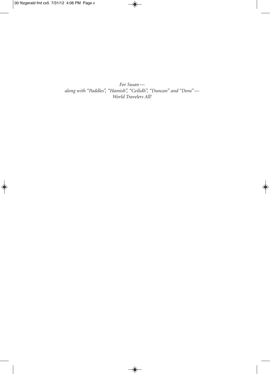*For Susan along with "Paddles", "Hamish", "Ceilidh", "Duncan" and "Dora"— World Travelers All!*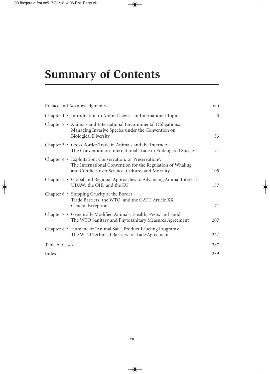### **Summary of Contents**

| Preface and Acknowledgments                                                                                                                                                  | <b>X111</b> |
|------------------------------------------------------------------------------------------------------------------------------------------------------------------------------|-------------|
| Chapter $1 \cdot$ Introduction to Animal Law as an International Topic                                                                                                       | 3           |
| Chapter 2 • Animals and International Environmental Obligations:<br>Managing Invasive Species under the Convention on<br><b>Biological Diversity</b>                         | 33          |
| Chapter 3 • Cross Border Trade in Animals and the Internet:<br>The Convention on International Trade in Endangered Species                                                   | 71          |
| Chapter 4 • Exploitation, Conservation, or Preservation?:<br>The International Convention for the Regulation of Whaling<br>and Conflicts over Science, Culture, and Morality | 105         |
| Chapter 5 · Global and Regional Approaches to Advancing Animal Interests:<br>UDAW, the OIE, and the EU                                                                       | 137         |
| Chapter 6 • Stopping Cruelty at the Border:<br>Trade Barriers, the WTO, and the GATT Article XX<br>General Exceptions                                                        | 171         |
| Chapter 7 · Genetically Modified Animals, Health, Pests, and Food:<br>The WTO Sanitary and Phytosanitary Measures Agreement                                                  | 207         |
| Chapter 8 • Humane or "Animal Safe" Product Labeling Programs:<br>The WTO Technical Barriers to Trade Agreement                                                              | 247         |
| Table of Cases                                                                                                                                                               | 287         |
| Index                                                                                                                                                                        | 289         |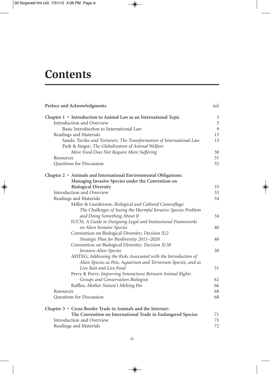### **Contents**

| Preface and Acknowledgments                                                                                                      |                |
|----------------------------------------------------------------------------------------------------------------------------------|----------------|
| Chapter 1 • Introduction to Animal Law as an International Topic                                                                 | 3              |
| Introduction and Overview                                                                                                        | $\mathfrak{Z}$ |
| Basic Introduction to International Law                                                                                          | 9              |
| Readings and Materials                                                                                                           | 13             |
| Sands; Turtles and Torturers: The Transformation of International Law<br>Park & Singer; The Globalization of Animal Welfare      | 13             |
| More Food Does Not Require More Suffering                                                                                        | 30<br>31       |
| Resources<br>Questions for Discussion                                                                                            | 32             |
|                                                                                                                                  |                |
| Chapter 2 · Animals and International Environmental Obligations:<br>Managing Invasive Species under the Convention on            |                |
| <b>Biological Diversity</b>                                                                                                      | 33             |
| Introduction and Overview                                                                                                        | 33             |
| Readings and Materials                                                                                                           | 34             |
| Miller & Gunderson; Biological and Cultural Camouflage:                                                                          |                |
| The Challenges of Seeing the Harmful Invasive Species Problem                                                                    |                |
| and Doing Something About It                                                                                                     | 34             |
| IUCN; A Guide to Designing Legal and Institutional Frameworks                                                                    |                |
| on Alien Invasive Species                                                                                                        | 40             |
| Convention on Biological Diversity; Decision X/2                                                                                 |                |
| Strategic Plan for Biodiversity 2011-2020                                                                                        | 48             |
| Convention on Biological Diversity; Decision X/38                                                                                |                |
| <b>Invasive Alien Species</b>                                                                                                    | 50             |
| AHTEG; Addressing the Risks Associated with the Introduction of<br>Alien Species as Pets, Aquarium and Terrarium Species, and as |                |
| Live Bait and Live Food                                                                                                          | 51             |
| Perry & Perry; Improving Interactions Between Animal Rights                                                                      |                |
| Groups and Conservation Biologists                                                                                               | 62             |
| Raffles; Mother Nature's Melting Pot                                                                                             | 66             |
| Resources                                                                                                                        | 68             |
| Questions for Discussion                                                                                                         | 68             |
|                                                                                                                                  |                |
| Chapter 3 • Cross Border Trade in Animals and the Internet:                                                                      |                |
| The Convention on International Trade in Endangered Species<br>Introduction and Overview                                         | 71             |
|                                                                                                                                  | 71<br>72       |
| Readings and Materials                                                                                                           |                |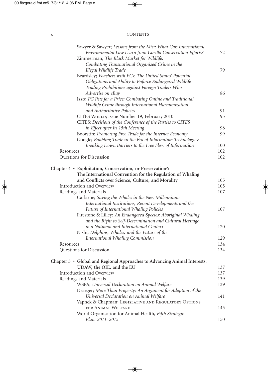#### x CONTENTS

| Sawyer & Sawyer; Lessons from the Mist: What Can International            |            |
|---------------------------------------------------------------------------|------------|
| Environmental Law Learn from Gorilla Conservation Efforts?                | 72         |
| Zimmerman; The Black Market for Wildlife:                                 |            |
| Combating Transnational Organized Crime in the                            |            |
| Illegal Wildlife Trade                                                    | 79         |
| Beardsley; Poachers with PCs: The United States' Potential                |            |
| Obligations and Ability to Enforce Endangered Wildlife                    |            |
| Trading Prohibitions against Foreign Traders Who                          |            |
| Advertise on eBay                                                         | 86         |
| Izzo; PC Pets for a Price: Combating Online and Traditional               |            |
| Wildlife Crime through International Harmonization                        |            |
| and Authoritative Policies                                                | 91         |
| CITES WORLD; Issue Number 19, February 2010                               | 95         |
| CITES; Decisions of the Conference of the Parties to CITES                |            |
| in Effect after Its 15th Meeting                                          | 98         |
| Boorstin; Promoting Free Trade for the Internet Economy                   | 99         |
| Google; Enabling Trade in the Era of Information Technologies:            |            |
| Breaking Down Barriers to the Free Flow of Information                    | 100        |
| Resources                                                                 | 102        |
| Questions for Discussion                                                  | 102        |
|                                                                           |            |
| Chapter 4 · Exploitation, Conservation, or Preservation?:                 |            |
| The International Convention for the Regulation of Whaling                |            |
| and Conflicts over Science, Culture, and Morality                         | 105<br>105 |
| Introduction and Overview                                                 |            |
| Readings and Materials                                                    | 107        |
| Carlarne; Saving the Whales in the New Millennium:                        |            |
| International Institutions, Recent Developments and the                   |            |
| Future of International Whaling Policies                                  | 107        |
| Firestone & Lilley; An Endangered Species: Aboriginal Whaling             |            |
| and the Right to Self-Determination and Cultural Heritage                 |            |
| in a National and International Context                                   | 120        |
| Nishi; Dolphins, Whales, and the Future of the                            |            |
| <b>International Whaling Commission</b>                                   | 129        |
| Resources                                                                 | 134        |
| Questions for Discussion                                                  | 134        |
| Chapter 5 • Global and Regional Approaches to Advancing Animal Interests: |            |
| UDAW, the OIE, and the EU                                                 | 137        |
| Introduction and Overview                                                 | 137        |
| Readings and Materials                                                    | 139        |
| WSPA; Universal Declaration on Animal Welfare                             | 139        |
| Draeger; More Than Property: An Argument for Adoption of the              |            |
| Universal Declaration on Animal Welfare                                   | 141        |
| Vapnek & Chapman; LEGISLATIVE AND REGULATORY OPTIONS                      |            |
| FOR ANIMAL WELFARE                                                        | 145        |
| World Organisation for Animal Health, Fifth Strategic                     |            |
| Plan: 2011-2015                                                           | 150        |
|                                                                           |            |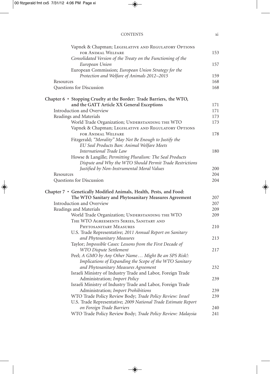| <b>CONTENTS</b> |  |
|-----------------|--|
|                 |  |

|           | Vapnek & Chapman; LEGISLATIVE AND REGULATORY OPTIONS                 |     |
|-----------|----------------------------------------------------------------------|-----|
|           | FOR ANIMAL WELFARE                                                   | 153 |
|           | Consolidated Version of the Treaty on the Functioning of the         |     |
|           | European Union                                                       | 157 |
|           | European Commission; European Union Strategy for the                 |     |
|           | Protection and Welfare of Animals 2012-2015                          | 159 |
| Resources |                                                                      | 168 |
|           | Questions for Discussion                                             | 168 |
|           | Chapter 6 · Stopping Cruelty at the Border: Trade Barriers, the WTO, |     |
|           | and the GATT Article XX General Exceptions                           | 171 |
|           | Introduction and Overview                                            | 171 |
|           | Readings and Materials                                               | 173 |
|           | World Trade Organization; UNDERSTANDING THE WTO                      | 173 |
|           | Vapnek & Chapman; LEGISLATIVE AND REGULATORY OPTIONS                 |     |
|           | FOR ANIMAL WELFARE                                                   | 178 |
|           | Fitzgerald; "Morality" May Not Be Enough to Justify the              |     |
|           | EU Seal Products Ban: Animal Welfare Meets                           |     |
|           | International Trade Law                                              | 180 |
|           | Howse & Langille; Permitting Pluralism: The Seal Products            |     |
|           | Dispute and Why the WTO Should Permit Trade Restrictions             |     |
|           | Justified by Non-Instrumental Moral Values                           | 200 |
| Resources |                                                                      | 204 |
|           | Questions for Discussion                                             | 204 |
|           |                                                                      |     |
|           | Chapter 7 · Genetically Modified Animals, Health, Pests, and Food:   |     |
|           | The WTO Sanitary and Phytosanitary Measures Agreement                | 207 |
|           | Introduction and Overview                                            | 207 |
|           | Readings and Materials                                               | 209 |
|           | World Trade Organization; UNDERSTANDING THE WTO                      | 209 |
|           | THE WTO AGREEMENTS SERIES, SANITARY AND                              |     |
|           | PHYTOSANITARY MEASURES                                               | 210 |
|           | U.S. Trade Representative; 2011 Annual Report on Sanitary            |     |
|           | and Phytosanitary Measures                                           | 213 |
|           | Taylor; Impossible Cases: Lessons from the First Decade of           |     |
|           | WTO Dispute Settlement                                               | 217 |
|           | Peel; A GMO by Any Other Name Might Be an SPS Risk !:                |     |
|           | Implications of Expanding the Scope of the WTO Sanitary              |     |
|           | and Phytosanitary Measures Agreement                                 | 232 |
|           | Israeli Ministry of Industry Trade and Labor, Foreign Trade          |     |
|           | Administration; Import Policy                                        | 239 |
|           | Israeli Ministry of Industry Trade and Labor, Foreign Trade          |     |
|           | Administration; Import Prohibitions                                  | 239 |
|           | WTO Trade Policy Review Body; Trade Policy Review: Israel            | 239 |
|           | U.S. Trade Representative; 2009 National Trade Estimate Report       |     |
|           | on Foreign Trade Barriers                                            | 240 |
|           | WTO Trade Policy Review Body; Trade Policy Review: Malaysia          | 241 |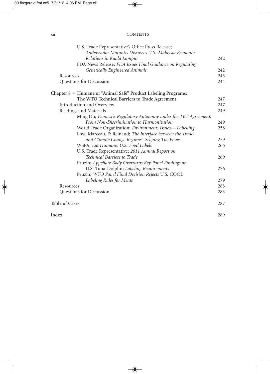#### xii CONTENTS

|                       | U.S. Trade Representative's Office Press Release;<br>Ambassador Marantis Discusses U.S.-Malaysia Economic<br>Relations in Kuala Lumpur | 242 |
|-----------------------|----------------------------------------------------------------------------------------------------------------------------------------|-----|
|                       | FDA News Release; FDA Issues Final Guidance on Regulating                                                                              |     |
|                       | <b>Genetically Engineered Animals</b>                                                                                                  | 242 |
| Resources             |                                                                                                                                        | 243 |
|                       | Questions for Discussion                                                                                                               | 244 |
|                       | Chapter 8 • Humane or "Animal Safe" Product Labeling Programs:                                                                         |     |
|                       | The WTO Technical Barriers to Trade Agreement                                                                                          | 247 |
|                       | Introduction and Overview                                                                                                              | 247 |
|                       | Readings and Materials                                                                                                                 | 249 |
|                       | Ming Du; Domestic Regulatory Autonomy under the TBT Agreement:                                                                         |     |
|                       | From Non-Discrimination to Harmonization                                                                                               | 249 |
|                       | World Trade Organization; Environment: Issues-Labelling                                                                                | 258 |
|                       | Low, Marceau, & Reinaud; The Interface between the Trade                                                                               |     |
|                       | and Climate Change Regimes: Scoping The Issues                                                                                         | 259 |
|                       | WSPA; Eat Humane: U.S. Food Labels                                                                                                     | 266 |
|                       | U.S. Trade Representative; 2011 Annual Report on                                                                                       |     |
|                       | <b>Technical Barriers to Trade</b>                                                                                                     | 269 |
|                       | Pruzin; Appellate Body Overturns Key Panel Findings on                                                                                 |     |
|                       | U.S. Tuna-Dolphin Labeling Requirements                                                                                                | 276 |
|                       | Pruzin; WTO Panel Final Decision Rejects U.S. COOL                                                                                     |     |
|                       | Labeling Rules for Meats                                                                                                               | 279 |
| Resources             |                                                                                                                                        | 283 |
|                       | Questions for Discussion                                                                                                               | 283 |
| <b>Table of Cases</b> |                                                                                                                                        | 287 |
| Index                 |                                                                                                                                        | 289 |